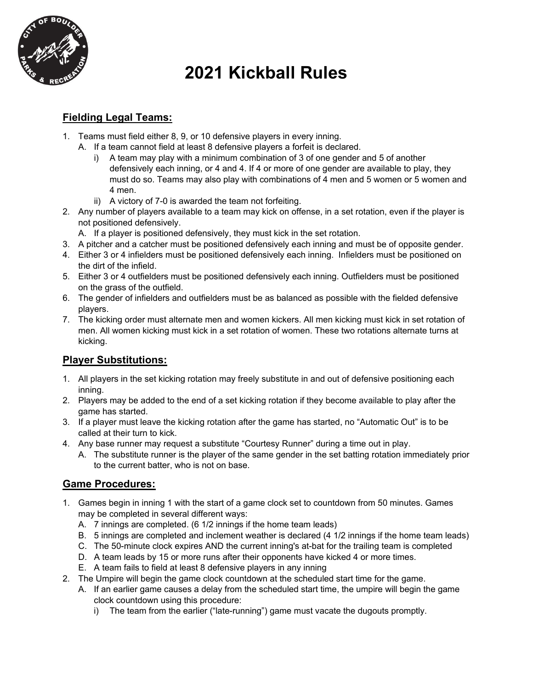

# **2021 Kickball Rules**

# **Fielding Legal Teams:**

- 1. Teams must field either 8, 9, or 10 defensive players in every inning.
	- A. If a team cannot field at least 8 defensive players a forfeit is declared.
		- i) A team may play with a minimum combination of 3 of one gender and 5 of another defensively each inning, or 4 and 4. If 4 or more of one gender are available to play, they must do so. Teams may also play with combinations of 4 men and 5 women or 5 women and 4 men.
		- ii) A victory of 7-0 is awarded the team not forfeiting.
- 2. Any number of players available to a team may kick on offense, in a set rotation, even if the player is not positioned defensively.

A. If a player is positioned defensively, they must kick in the set rotation.

- 3. A pitcher and a catcher must be positioned defensively each inning and must be of opposite gender.
- 4. Either 3 or 4 infielders must be positioned defensively each inning. Infielders must be positioned on the dirt of the infield.
- 5. Either 3 or 4 outfielders must be positioned defensively each inning. Outfielders must be positioned on the grass of the outfield.
- 6. The gender of infielders and outfielders must be as balanced as possible with the fielded defensive players.
- 7. The kicking order must alternate men and women kickers. All men kicking must kick in set rotation of men. All women kicking must kick in a set rotation of women. These two rotations alternate turns at kicking.

# **Player Substitutions:**

- 1. All players in the set kicking rotation may freely substitute in and out of defensive positioning each inning.
- 2. Players may be added to the end of a set kicking rotation if they become available to play after the game has started.
- 3. If a player must leave the kicking rotation after the game has started, no "Automatic Out" is to be called at their turn to kick.
- 4. Any base runner may request a substitute "Courtesy Runner" during a time out in play.
	- A. The substitute runner is the player of the same gender in the set batting rotation immediately prior to the current batter, who is not on base.

# **Game Procedures:**

- 1. Games begin in inning 1 with the start of a game clock set to countdown from 50 minutes. Games may be completed in several different ways:
	- A. 7 innings are completed. (6 1/2 innings if the home team leads)
	- B. 5 innings are completed and inclement weather is declared (4 1/2 innings if the home team leads)
	- C. The 50-minute clock expires AND the current inning's at-bat for the trailing team is completed
	- D. A team leads by 15 or more runs after their opponents have kicked 4 or more times.
	- E. A team fails to field at least 8 defensive players in any inning
- 2. The Umpire will begin the game clock countdown at the scheduled start time for the game.
	- A. If an earlier game causes a delay from the scheduled start time, the umpire will begin the game clock countdown using this procedure:
		- i) The team from the earlier ("late-running") game must vacate the dugouts promptly.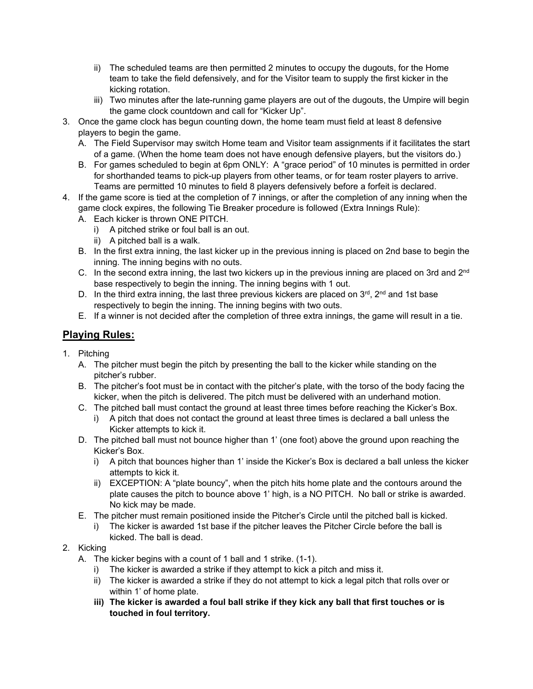- ii) The scheduled teams are then permitted 2 minutes to occupy the dugouts, for the Home team to take the field defensively, and for the Visitor team to supply the first kicker in the kicking rotation.
- iii) Two minutes after the late-running game players are out of the dugouts, the Umpire will begin the game clock countdown and call for "Kicker Up".
- 3. Once the game clock has begun counting down, the home team must field at least 8 defensive players to begin the game.
	- A. The Field Supervisor may switch Home team and Visitor team assignments if it facilitates the start of a game. (When the home team does not have enough defensive players, but the visitors do.)
	- B. For games scheduled to begin at 6pm ONLY: A "grace period" of 10 minutes is permitted in order for shorthanded teams to pick-up players from other teams, or for team roster players to arrive. Teams are permitted 10 minutes to field 8 players defensively before a forfeit is declared.
- 4. If the game score is tied at the completion of 7 innings, or after the completion of any inning when the game clock expires, the following Tie Breaker procedure is followed (Extra Innings Rule):
	- A. Each kicker is thrown ONE PITCH.
		- i) A pitched strike or foul ball is an out.
		- ii) A pitched ball is a walk.
	- B. In the first extra inning, the last kicker up in the previous inning is placed on 2nd base to begin the inning. The inning begins with no outs.
	- C. In the second extra inning, the last two kickers up in the previous inning are placed on 3rd and  $2^{nd}$ base respectively to begin the inning. The inning begins with 1 out.
	- D. In the third extra inning, the last three previous kickers are placed on  $3^{rd}$ ,  $2^{nd}$  and 1st base respectively to begin the inning. The inning begins with two outs.
	- E. If a winner is not decided after the completion of three extra innings, the game will result in a tie.

# **Playing Rules:**

- 1. Pitching
	- A. The pitcher must begin the pitch by presenting the ball to the kicker while standing on the pitcher's rubber.
	- B. The pitcher's foot must be in contact with the pitcher's plate, with the torso of the body facing the kicker, when the pitch is delivered. The pitch must be delivered with an underhand motion.
	- C. The pitched ball must contact the ground at least three times before reaching the Kicker's Box.
		- i) A pitch that does not contact the ground at least three times is declared a ball unless the Kicker attempts to kick it.
	- D. The pitched ball must not bounce higher than 1' (one foot) above the ground upon reaching the Kicker's Box.
		- i) A pitch that bounces higher than 1' inside the Kicker's Box is declared a ball unless the kicker attempts to kick it.
		- ii) EXCEPTION: A "plate bouncy", when the pitch hits home plate and the contours around the plate causes the pitch to bounce above 1' high, is a NO PITCH. No ball or strike is awarded. No kick may be made.
	- E. The pitcher must remain positioned inside the Pitcher's Circle until the pitched ball is kicked.
		- i) The kicker is awarded 1st base if the pitcher leaves the Pitcher Circle before the ball is kicked. The ball is dead.

# 2. Kicking

- A. The kicker begins with a count of 1 ball and 1 strike. (1-1).
	- i) The kicker is awarded a strike if they attempt to kick a pitch and miss it.
	- ii) The kicker is awarded a strike if they do not attempt to kick a legal pitch that rolls over or within 1' of home plate.
	- **iii) The kicker is awarded a foul ball strike if they kick any ball that first touches or is touched in foul territory.**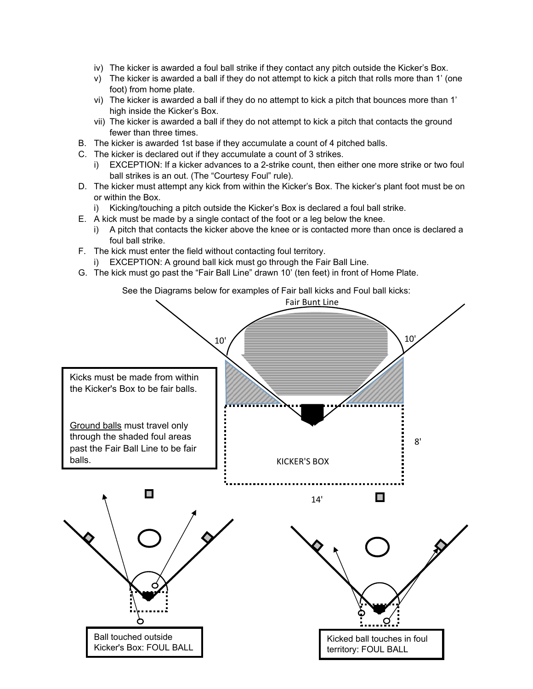- iv) The kicker is awarded a foul ball strike if they contact any pitch outside the Kicker's Box.
- v) The kicker is awarded a ball if they do not attempt to kick a pitch that rolls more than 1' (one foot) from home plate.
- vi) The kicker is awarded a ball if they do no attempt to kick a pitch that bounces more than 1' high inside the Kicker's Box.
- vii) The kicker is awarded a ball if they do not attempt to kick a pitch that contacts the ground fewer than three times.
- B. The kicker is awarded 1st base if they accumulate a count of 4 pitched balls.
- C. The kicker is declared out if they accumulate a count of 3 strikes.
	- i) EXCEPTION: If a kicker advances to a 2-strike count, then either one more strike or two foul ball strikes is an out. (The "Courtesy Foul" rule).
- D. The kicker must attempt any kick from within the Kicker's Box. The kicker's plant foot must be on or within the Box.
	- i) Kicking/touching a pitch outside the Kicker's Box is declared a foul ball strike.
- E. A kick must be made by a single contact of the foot or a leg below the knee.
	- i) A pitch that contacts the kicker above the knee or is contacted more than once is declared a foul ball strike.
- F. The kick must enter the field without contacting foul territory.
	- i) EXCEPTION: A ground ball kick must go through the Fair Ball Line.
- G. The kick must go past the "Fair Ball Line" drawn 10' (ten feet) in front of Home Plate.



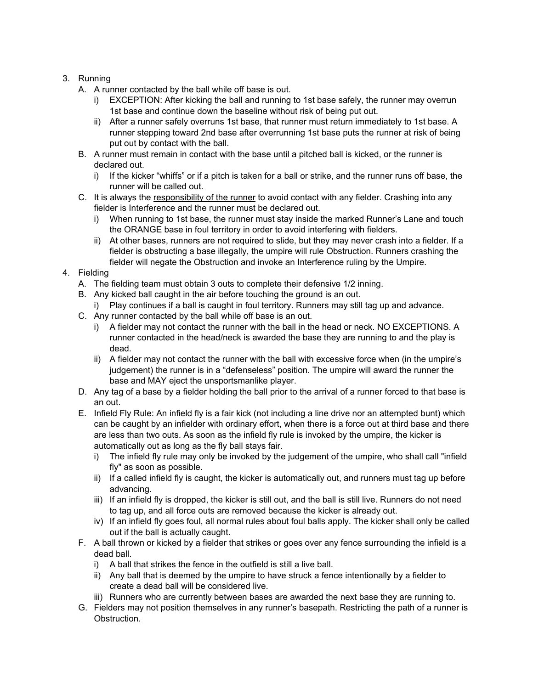## 3. Running

- A. A runner contacted by the ball while off base is out.
	- i) EXCEPTION: After kicking the ball and running to 1st base safely, the runner may overrun 1st base and continue down the baseline without risk of being put out.
	- ii) After a runner safely overruns 1st base, that runner must return immediately to 1st base. A runner stepping toward 2nd base after overrunning 1st base puts the runner at risk of being put out by contact with the ball.
- B. A runner must remain in contact with the base until a pitched ball is kicked, or the runner is declared out.
	- i) If the kicker "whiffs" or if a pitch is taken for a ball or strike, and the runner runs off base, the runner will be called out.
- C. It is always the responsibility of the runner to avoid contact with any fielder. Crashing into any fielder is Interference and the runner must be declared out.
	- i) When running to 1st base, the runner must stay inside the marked Runner's Lane and touch the ORANGE base in foul territory in order to avoid interfering with fielders.
	- ii) At other bases, runners are not required to slide, but they may never crash into a fielder. If a fielder is obstructing a base illegally, the umpire will rule Obstruction. Runners crashing the fielder will negate the Obstruction and invoke an Interference ruling by the Umpire.

# 4. Fielding

- A. The fielding team must obtain 3 outs to complete their defensive 1/2 inning.
- B. Any kicked ball caught in the air before touching the ground is an out.
	- i) Play continues if a ball is caught in foul territory. Runners may still tag up and advance.
- C. Any runner contacted by the ball while off base is an out.
	- i) A fielder may not contact the runner with the ball in the head or neck. NO EXCEPTIONS. A runner contacted in the head/neck is awarded the base they are running to and the play is dead.
	- ii) A fielder may not contact the runner with the ball with excessive force when (in the umpire's judgement) the runner is in a "defenseless" position. The umpire will award the runner the base and MAY eject the unsportsmanlike player.
- D. Any tag of a base by a fielder holding the ball prior to the arrival of a runner forced to that base is an out.
- E. Infield Fly Rule: An infield fly is a fair kick (not including a line drive nor an attempted bunt) which can be caught by an infielder with ordinary effort, when there is a force out at third base and there are less than two outs. As soon as the infield fly rule is invoked by the umpire, the kicker is automatically out as long as the fly ball stays fair.
	- i) The infield fly rule may only be invoked by the judgement of the umpire, who shall call "infield fly" as soon as possible.
	- ii) If a called infield fly is caught, the kicker is automatically out, and runners must tag up before advancing.
	- iii) If an infield fly is dropped, the kicker is still out, and the ball is still live. Runners do not need to tag up, and all force outs are removed because the kicker is already out.
	- iv) If an infield fly goes foul, all normal rules about foul balls apply. The kicker shall only be called out if the ball is actually caught.
- F. A ball thrown or kicked by a fielder that strikes or goes over any fence surrounding the infield is a dead ball.
	- i) A ball that strikes the fence in the outfield is still a live ball.
	- ii) Any ball that is deemed by the umpire to have struck a fence intentionally by a fielder to create a dead ball will be considered live.
	- iii) Runners who are currently between bases are awarded the next base they are running to.
- G. Fielders may not position themselves in any runner's basepath. Restricting the path of a runner is Obstruction.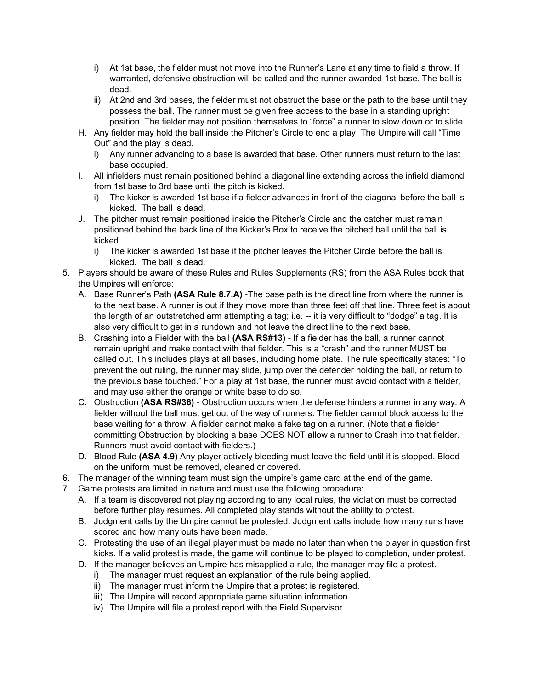- i) At 1st base, the fielder must not move into the Runner's Lane at any time to field a throw. If warranted, defensive obstruction will be called and the runner awarded 1st base. The ball is dead.
- ii) At 2nd and 3rd bases, the fielder must not obstruct the base or the path to the base until they possess the ball. The runner must be given free access to the base in a standing upright position. The fielder may not position themselves to "force" a runner to slow down or to slide.
- H. Any fielder may hold the ball inside the Pitcher's Circle to end a play. The Umpire will call "Time Out" and the play is dead.
	- i) Any runner advancing to a base is awarded that base. Other runners must return to the last base occupied.
- I. All infielders must remain positioned behind a diagonal line extending across the infield diamond from 1st base to 3rd base until the pitch is kicked.
	- i) The kicker is awarded 1st base if a fielder advances in front of the diagonal before the ball is kicked. The ball is dead.
- J. The pitcher must remain positioned inside the Pitcher's Circle and the catcher must remain positioned behind the back line of the Kicker's Box to receive the pitched ball until the ball is kicked.
	- i) The kicker is awarded 1st base if the pitcher leaves the Pitcher Circle before the ball is kicked. The ball is dead.
- 5. Players should be aware of these Rules and Rules Supplements (RS) from the ASA Rules book that the Umpires will enforce:
	- A. Base Runner's Path **(ASA Rule 8.7.A)** -The base path is the direct line from where the runner is to the next base. A runner is out if they move more than three feet off that line. Three feet is about the length of an outstretched arm attempting a tag; i.e. -- it is very difficult to "dodge" a tag. It is also very difficult to get in a rundown and not leave the direct line to the next base.
	- B. Crashing into a Fielder with the ball **(ASA RS#13)** If a fielder has the ball, a runner cannot remain upright and make contact with that fielder. This is a "crash" and the runner MUST be called out. This includes plays at all bases, including home plate. The rule specifically states: "To prevent the out ruling, the runner may slide, jump over the defender holding the ball, or return to the previous base touched." For a play at 1st base, the runner must avoid contact with a fielder, and may use either the orange or white base to do so.
	- C. Obstruction **(ASA RS#36)** Obstruction occurs when the defense hinders a runner in any way. A fielder without the ball must get out of the way of runners. The fielder cannot block access to the base waiting for a throw. A fielder cannot make a fake tag on a runner. (Note that a fielder committing Obstruction by blocking a base DOES NOT allow a runner to Crash into that fielder. Runners must avoid contact with fielders.)
	- D. Blood Rule **(ASA 4.9)** Any player actively bleeding must leave the field until it is stopped. Blood on the uniform must be removed, cleaned or covered.
- 6. The manager of the winning team must sign the umpire's game card at the end of the game.
- 7. Game protests are limited in nature and must use the following procedure:
	- A. If a team is discovered not playing according to any local rules, the violation must be corrected before further play resumes. All completed play stands without the ability to protest.
	- B. Judgment calls by the Umpire cannot be protested. Judgment calls include how many runs have scored and how many outs have been made.
	- C. Protesting the use of an illegal player must be made no later than when the player in question first kicks. If a valid protest is made, the game will continue to be played to completion, under protest.
	- D. If the manager believes an Umpire has misapplied a rule, the manager may file a protest.
		- i) The manager must request an explanation of the rule being applied.
		- ii) The manager must inform the Umpire that a protest is registered.
		- iii) The Umpire will record appropriate game situation information.
		- iv) The Umpire will file a protest report with the Field Supervisor.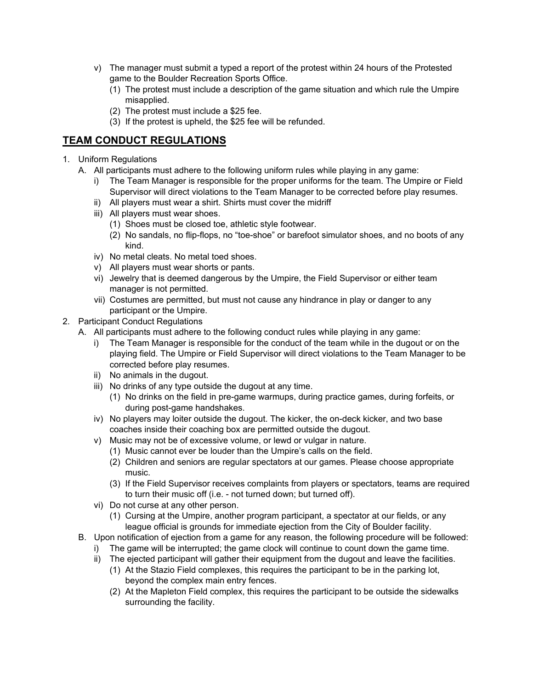- v) The manager must submit a typed a report of the protest within 24 hours of the Protested game to the Boulder Recreation Sports Office.
	- (1) The protest must include a description of the game situation and which rule the Umpire misapplied.
	- (2) The protest must include a \$25 fee.
	- (3) If the protest is upheld, the \$25 fee will be refunded.

# **TEAM CONDUCT REGULATIONS**

- 1. Uniform Regulations
	- A. All participants must adhere to the following uniform rules while playing in any game:
		- i) The Team Manager is responsible for the proper uniforms for the team. The Umpire or Field Supervisor will direct violations to the Team Manager to be corrected before play resumes.
		- ii) All players must wear a shirt. Shirts must cover the midriff
		- iii) All players must wear shoes.
			- (1) Shoes must be closed toe, athletic style footwear.
			- (2) No sandals, no flip-flops, no "toe-shoe" or barefoot simulator shoes, and no boots of any kind.
		- iv) No metal cleats. No metal toed shoes.
		- v) All players must wear shorts or pants.
		- vi) Jewelry that is deemed dangerous by the Umpire, the Field Supervisor or either team manager is not permitted.
		- vii) Costumes are permitted, but must not cause any hindrance in play or danger to any participant or the Umpire.
- 2. Participant Conduct Regulations
	- A. All participants must adhere to the following conduct rules while playing in any game:
		- i) The Team Manager is responsible for the conduct of the team while in the dugout or on the playing field. The Umpire or Field Supervisor will direct violations to the Team Manager to be corrected before play resumes.
		- ii) No animals in the dugout.
		- iii) No drinks of any type outside the dugout at any time.
			- (1) No drinks on the field in pre-game warmups, during practice games, during forfeits, or during post-game handshakes.
		- iv) No players may loiter outside the dugout. The kicker, the on-deck kicker, and two base coaches inside their coaching box are permitted outside the dugout.
		- v) Music may not be of excessive volume, or lewd or vulgar in nature.
			- (1) Music cannot ever be louder than the Umpire's calls on the field.
			- (2) Children and seniors are regular spectators at our games. Please choose appropriate music.
			- (3) If the Field Supervisor receives complaints from players or spectators, teams are required to turn their music off (i.e. - not turned down; but turned off).
		- vi) Do not curse at any other person.
			- (1) Cursing at the Umpire, another program participant, a spectator at our fields, or any league official is grounds for immediate ejection from the City of Boulder facility.
	- B. Upon notification of ejection from a game for any reason, the following procedure will be followed:
		- i) The game will be interrupted; the game clock will continue to count down the game time.
		- ii) The ejected participant will gather their equipment from the dugout and leave the facilities.
			- (1) At the Stazio Field complexes, this requires the participant to be in the parking lot, beyond the complex main entry fences.
			- (2) At the Mapleton Field complex, this requires the participant to be outside the sidewalks surrounding the facility.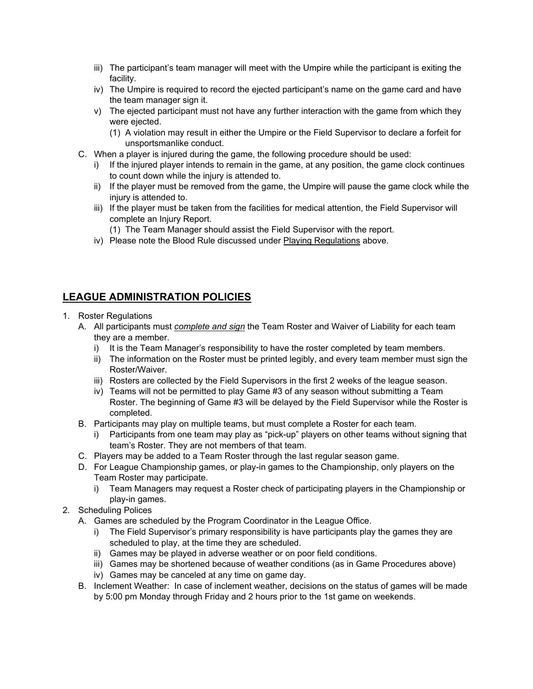- iii) The participant's team manager will meet with the Umpire while the participant is exiting the facility.
- iv) The Umpire is required to record the ejected participant's name on the game card and have the team manager sign it.
- v) The ejected participant must not have any further interaction with the game from which they were ejected.
	- (1) A violation may result in either the Umpire or the Field Supervisor to declare a forfeit for unsportsmanlike conduct.
- C. When a player is injured during the game, the following procedure should be used:
	- i) If the injured player intends to remain in the game, at any position, the game clock continues to count down while the injury is attended to.
	- ii) If the player must be removed from the game, the Umpire will pause the game clock while the injury is attended to.
	- iii) If the player must be taken from the facilities for medical attention, the Field Supervisor will complete an Injury Report.
		- (1) The Team Manager should assist the Field Supervisor with the report.
	- iv) Please note the Blood Rule discussed under Playing Regulations above.

# **LEAGUE ADMINISTRATION POLICIES**

- 1. Roster Regulations
	- A. All participants must *complete and sign* the Team Roster and Waiver of Liability for each team they are a member.
		- i) It is the Team Manager's responsibility to have the roster completed by team members.
		- ii) The information on the Roster must be printed legibly, and every team member must sign the Roster/Waiver.
		- iii) Rosters are collected by the Field Supervisors in the first 2 weeks of the league season.
		- iv) Teams will not be permitted to play Game #3 of any season without submitting a Team Roster. The beginning of Game #3 will be delayed by the Field Supervisor while the Roster is completed.
	- B. Participants may play on multiple teams, but must complete a Roster for each team.
		- i) Participants from one team may play as "pick-up" players on other teams without signing that team's Roster. They are not members of that team.
	- C. Players may be added to a Team Roster through the last regular season game.
	- D. For League Championship games, or play-in games to the Championship, only players on the Team Roster may participate.
		- i) Team Managers may request a Roster check of participating players in the Championship or play-in games.
- 2. Scheduling Polices
	- A. Games are scheduled by the Program Coordinator in the League Office.
		- i) The Field Supervisor's primary responsibility is have participants play the games they are scheduled to play, at the time they are scheduled.
		- ii) Games may be played in adverse weather or on poor field conditions.
		- iii) Games may be shortened because of weather conditions (as in Game Procedures above)
		- iv) Games may be canceled at any time on game day.
	- B. Inclement Weather: In case of inclement weather, decisions on the status of games will be made by 5:00 pm Monday through Friday and 2 hours prior to the 1st game on weekends.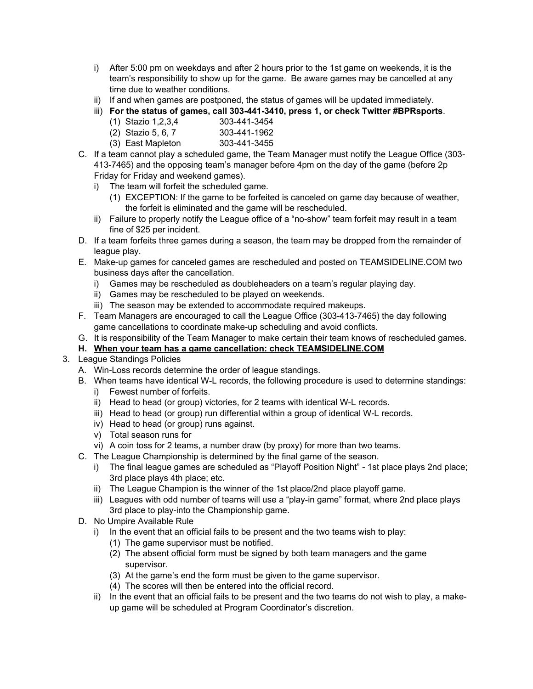- i) After 5:00 pm on weekdays and after 2 hours prior to the 1st game on weekends, it is the team's responsibility to show up for the game. Be aware games may be cancelled at any time due to weather conditions.
- ii) If and when games are postponed, the status of games will be updated immediately.
- iii) **For the status of games, call 303-441-3410, press 1, or check Twitter #BPRsports**.
	- $(1)$  Stazio 1,2,3,4
	- (2) Stazio 5, 6, 7 303-441-1962
	- (3) East Mapleton 303-441-3455
- C. If a team cannot play a scheduled game, the Team Manager must notify the League Office (303- 413-7465) and the opposing team's manager before 4pm on the day of the game (before 2p Friday for Friday and weekend games).
	- i) The team will forfeit the scheduled game.
		- (1) EXCEPTION: If the game to be forfeited is canceled on game day because of weather, the forfeit is eliminated and the game will be rescheduled.
	- ii) Failure to properly notify the League office of a "no-show" team forfeit may result in a team fine of \$25 per incident.
- D. If a team forfeits three games during a season, the team may be dropped from the remainder of league play.
- E. Make-up games for canceled games are rescheduled and posted on TEAMSIDELINE.COM two business days after the cancellation.
	- i) Games may be rescheduled as doubleheaders on a team's regular playing day.
	- ii) Games may be rescheduled to be played on weekends.
	- iii) The season may be extended to accommodate required makeups.
- F. Team Managers are encouraged to call the League Office (303-413-7465) the day following game cancellations to coordinate make-up scheduling and avoid conflicts.
- G. It is responsibility of the Team Manager to make certain their team knows of rescheduled games.

## **H. When your team has a game cancellation: check TEAMSIDELINE.COM**

- 3. League Standings Policies
	- A. Win-Loss records determine the order of league standings.
	- B. When teams have identical W-L records, the following procedure is used to determine standings:
		- i) Fewest number of forfeits.
		- ii) Head to head (or group) victories, for 2 teams with identical W-L records.
		- iii) Head to head (or group) run differential within a group of identical W-L records.
		- iv) Head to head (or group) runs against.
		- v) Total season runs for
		- vi) A coin toss for 2 teams, a number draw (by proxy) for more than two teams.
	- C. The League Championship is determined by the final game of the season.
		- i) The final league games are scheduled as "Playoff Position Night" 1st place plays 2nd place; 3rd place plays 4th place; etc.
		- ii) The League Champion is the winner of the 1st place/2nd place playoff game.
		- iii) Leagues with odd number of teams will use a "play-in game" format, where 2nd place plays 3rd place to play-into the Championship game.
	- D. No Umpire Available Rule
		- i) In the event that an official fails to be present and the two teams wish to play:
			- (1) The game supervisor must be notified.
			- (2) The absent official form must be signed by both team managers and the game supervisor.
			- (3) At the game's end the form must be given to the game supervisor.
			- (4) The scores will then be entered into the official record.
		- ii) In the event that an official fails to be present and the two teams do not wish to play, a makeup game will be scheduled at Program Coordinator's discretion.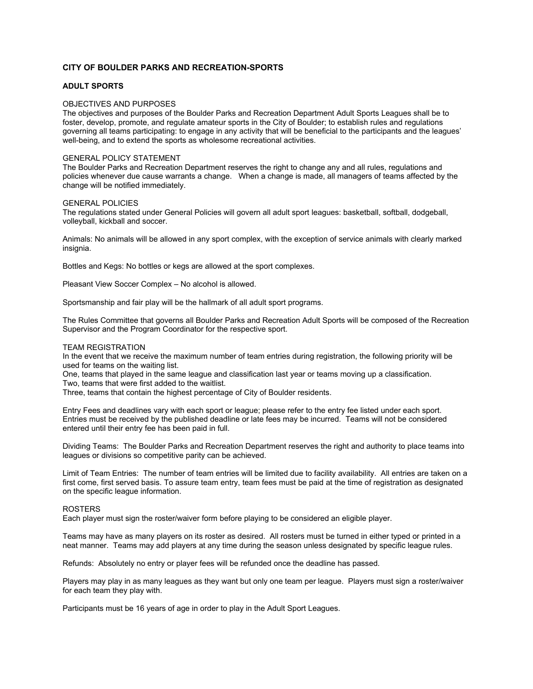## **CITY OF BOULDER PARKS AND RECREATION-SPORTS**

## **ADULT SPORTS**

### OBJECTIVES AND PURPOSES

The objectives and purposes of the Boulder Parks and Recreation Department Adult Sports Leagues shall be to foster, develop, promote, and regulate amateur sports in the City of Boulder; to establish rules and regulations governing all teams participating: to engage in any activity that will be beneficial to the participants and the leagues' well-being, and to extend the sports as wholesome recreational activities.

#### GENERAL POLICY STATEMENT

The Boulder Parks and Recreation Department reserves the right to change any and all rules, regulations and policies whenever due cause warrants a change. When a change is made, all managers of teams affected by the change will be notified immediately.

#### GENERAL POLICIES

The regulations stated under General Policies will govern all adult sport leagues: basketball, softball, dodgeball, volleyball, kickball and soccer.

Animals: No animals will be allowed in any sport complex, with the exception of service animals with clearly marked insignia.

Bottles and Kegs: No bottles or kegs are allowed at the sport complexes.

Pleasant View Soccer Complex – No alcohol is allowed.

Sportsmanship and fair play will be the hallmark of all adult sport programs.

The Rules Committee that governs all Boulder Parks and Recreation Adult Sports will be composed of the Recreation Supervisor and the Program Coordinator for the respective sport.

### TEAM REGISTRATION

In the event that we receive the maximum number of team entries during registration, the following priority will be used for teams on the waiting list.

One, teams that played in the same league and classification last year or teams moving up a classification. Two, teams that were first added to the waitlist.

Three, teams that contain the highest percentage of City of Boulder residents.

Entry Fees and deadlines vary with each sport or league; please refer to the entry fee listed under each sport. Entries must be received by the published deadline or late fees may be incurred. Teams will not be considered entered until their entry fee has been paid in full.

Dividing Teams: The Boulder Parks and Recreation Department reserves the right and authority to place teams into leagues or divisions so competitive parity can be achieved.

Limit of Team Entries: The number of team entries will be limited due to facility availability. All entries are taken on a first come, first served basis. To assure team entry, team fees must be paid at the time of registration as designated on the specific league information.

## ROSTERS

Each player must sign the roster/waiver form before playing to be considered an eligible player.

Teams may have as many players on its roster as desired. All rosters must be turned in either typed or printed in a neat manner. Teams may add players at any time during the season unless designated by specific league rules.

Refunds: Absolutely no entry or player fees will be refunded once the deadline has passed.

Players may play in as many leagues as they want but only one team per league. Players must sign a roster/waiver for each team they play with.

Participants must be 16 years of age in order to play in the Adult Sport Leagues.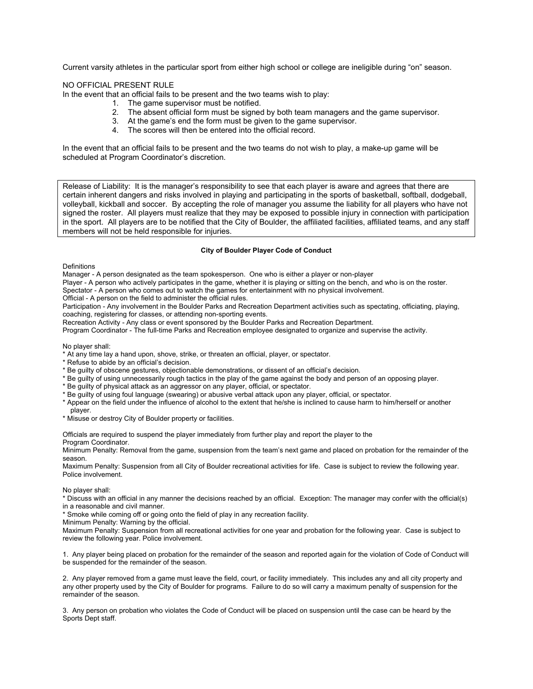Current varsity athletes in the particular sport from either high school or college are ineligible during "on" season.

NO OFFICIAL PRESENT RULE

In the event that an official fails to be present and the two teams wish to play:

- 1. The game supervisor must be notified.
- 2. The absent official form must be signed by both team managers and the game supervisor.
- 3. At the game's end the form must be given to the game supervisor.
- 4. The scores will then be entered into the official record.

In the event that an official fails to be present and the two teams do not wish to play, a make-up game will be scheduled at Program Coordinator's discretion.

Release of Liability: It is the manager's responsibility to see that each player is aware and agrees that there are certain inherent dangers and risks involved in playing and participating in the sports of basketball, softball, dodgeball, volleyball, kickball and soccer. By accepting the role of manager you assume the liability for all players who have not signed the roster. All players must realize that they may be exposed to possible injury in connection with participation in the sport. All players are to be notified that the City of Boulder, the affiliated facilities, affiliated teams, and any staff members will not be held responsible for injuries.

### **City of Boulder Player Code of Conduct**

**Definitions** 

Manager - A person designated as the team spokesperson. One who is either a player or non-player

Player - A person who actively participates in the game, whether it is playing or sitting on the bench, and who is on the roster.

Spectator - A person who comes out to watch the games for entertainment with no physical involvement.

Official - A person on the field to administer the official rules.

Participation - Any involvement in the Boulder Parks and Recreation Department activities such as spectating, officiating, playing, coaching, registering for classes, or attending non-sporting events.

Recreation Activity - Any class or event sponsored by the Boulder Parks and Recreation Department.

Program Coordinator - The full-time Parks and Recreation employee designated to organize and supervise the activity.

No player shall:

- \* At any time lay a hand upon, shove, strike, or threaten an official, player, or spectator.
- \* Refuse to abide by an official's decision.
- \* Be guilty of obscene gestures, objectionable demonstrations, or dissent of an official's decision.
- \* Be guilty of using unnecessarily rough tactics in the play of the game against the body and person of an opposing player.
- \* Be guilty of physical attack as an aggressor on any player, official, or spectator.
- \* Be guilty of using foul language (swearing) or abusive verbal attack upon any player, official, or spectator.
- \* Appear on the field under the influence of alcohol to the extent that he/she is inclined to cause harm to him/herself or another player.
- \* Misuse or destroy City of Boulder property or facilities.

Officials are required to suspend the player immediately from further play and report the player to the

Program Coordinator.

Minimum Penalty: Removal from the game, suspension from the team's next game and placed on probation for the remainder of the season.

Maximum Penalty: Suspension from all City of Boulder recreational activities for life. Case is subject to review the following year. Police involvement.

No player shall:

\* Discuss with an official in any manner the decisions reached by an official. Exception: The manager may confer with the official(s) in a reasonable and civil manner.

\* Smoke while coming off or going onto the field of play in any recreation facility.

Minimum Penalty: Warning by the official.

Maximum Penalty: Suspension from all recreational activities for one year and probation for the following year. Case is subject to review the following year. Police involvement.

1. Any player being placed on probation for the remainder of the season and reported again for the violation of Code of Conduct will be suspended for the remainder of the season.

2. Any player removed from a game must leave the field, court, or facility immediately. This includes any and all city property and any other property used by the City of Boulder for programs. Failure to do so will carry a maximum penalty of suspension for the remainder of the season.

3. Any person on probation who violates the Code of Conduct will be placed on suspension until the case can be heard by the Sports Dept staff.